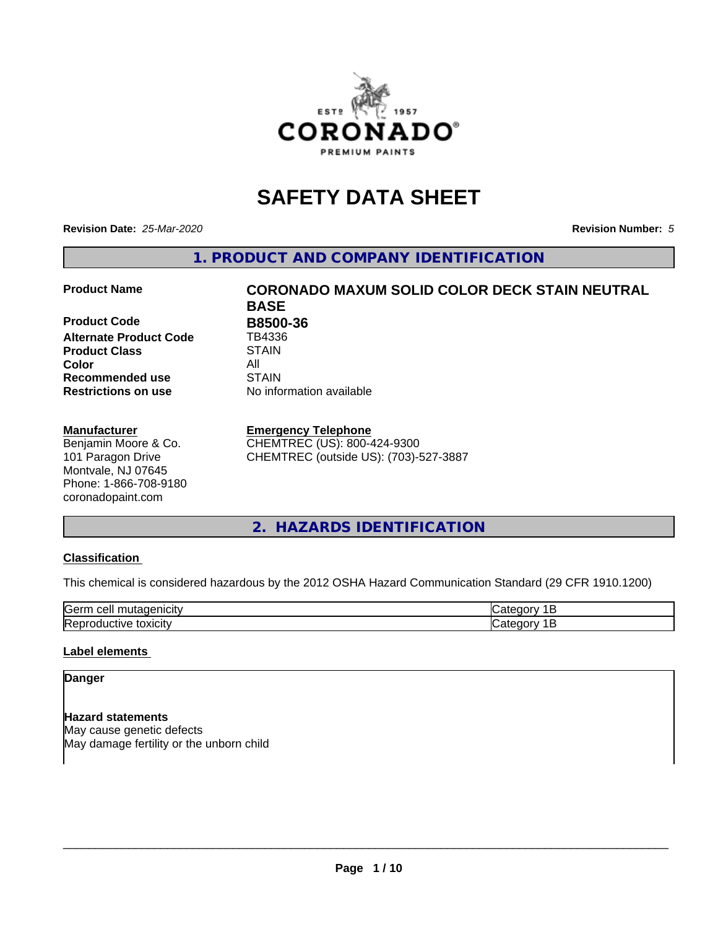

## **SAFETY DATA SHEET**

**Revision Date:** *25-Mar-2020* **Revision Number:** *5*

**1. PRODUCT AND COMPANY IDENTIFICATION**

**Product Code B8500-36 Alternate Product Code** TB4336 **Product Class STAIN**<br> **Color** All **Color** All **Recommended use STAIN Restrictions on use** No information available

#### **Manufacturer**

Benjamin Moore & Co. 101 Paragon Drive Montvale, NJ 07645 Phone: 1-866-708-9180 coronadopaint.com

# **Product Name CORONADO MAXUM SOLID COLOR DECK STAIN NEUTRAL BASE**

#### **Emergency Telephone**

CHEMTREC (US): 800-424-9300 CHEMTREC (outside US): (703)-527-3887

#### **2. HAZARDS IDENTIFICATION**

#### **Classification**

This chemical is considered hazardous by the 2012 OSHA Hazard Communication Standard (29 CFR 1910.1200)

| $\sim$ $\sim$<br>---<br>kae:<br>$\cdot$ |  |
|-----------------------------------------|--|
| <b>Re</b><br>$-$<br>. X II              |  |

#### **Label elements**

#### **Danger**

**Hazard statements** May cause genetic defects May damage fertility or the unborn child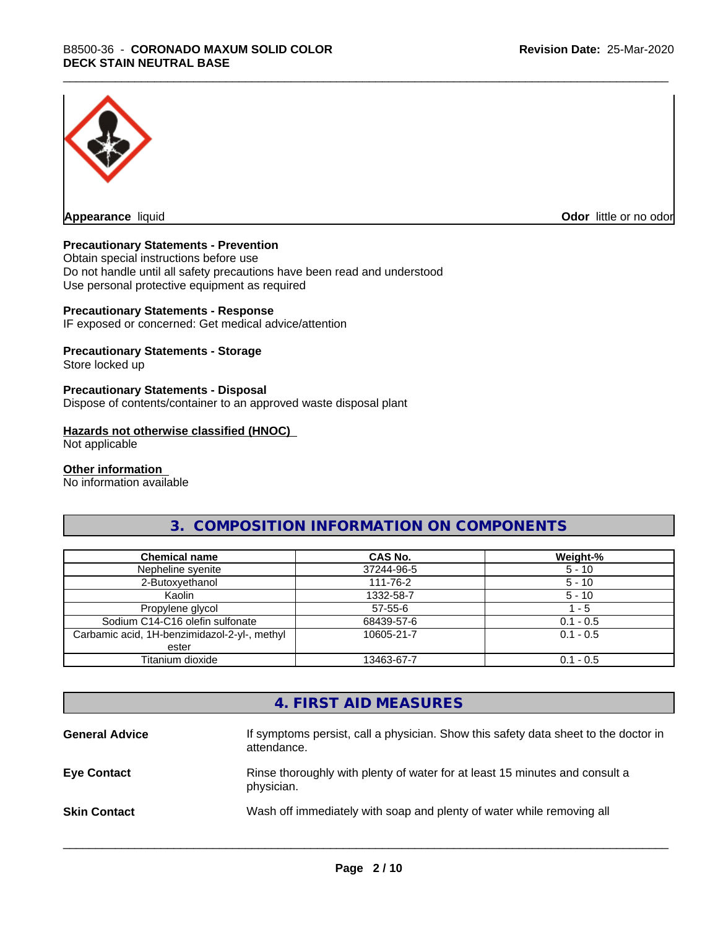

**Appearance** liquid **Odor in the original of the original of the original of the original of the original of the original of the original of the original of the original of the original of the original of the original of t** 

#### **Precautionary Statements - Prevention**

Obtain special instructions before use Do not handle until all safety precautions have been read and understood Use personal protective equipment as required

#### **Precautionary Statements - Response**

IF exposed or concerned: Get medical advice/attention

#### **Precautionary Statements - Storage**

Store locked up

#### **Precautionary Statements - Disposal**

Dispose of contents/container to an approved waste disposal plant

#### **Hazards not otherwise classified (HNOC)**

Not applicable

#### **Other information**

No information available

#### **3. COMPOSITION INFORMATION ON COMPONENTS**

| <b>Chemical name</b>                         | <b>CAS No.</b> | Weight-%    |
|----------------------------------------------|----------------|-------------|
| Nepheline syenite                            | 37244-96-5     | $5 - 10$    |
| 2-Butoxyethanol                              | 111-76-2       | $5 - 10$    |
| Kaolin                                       | 1332-58-7      | $5 - 10$    |
| Propylene glycol                             | $57 - 55 - 6$  | $-5$        |
| Sodium C14-C16 olefin sulfonate              | 68439-57-6     | $0.1 - 0.5$ |
| Carbamic acid, 1H-benzimidazol-2-yl-, methyl | 10605-21-7     | $0.1 - 0.5$ |
| ester                                        |                |             |
| Titanium dioxide                             | 13463-67-7     | $0.1 - 0.5$ |

### **4. FIRST AID MEASURES**

| <b>General Advice</b> | If symptoms persist, call a physician. Show this safety data sheet to the doctor in<br>attendance. |
|-----------------------|----------------------------------------------------------------------------------------------------|
| <b>Eye Contact</b>    | Rinse thoroughly with plenty of water for at least 15 minutes and consult a<br>physician.          |
| <b>Skin Contact</b>   | Wash off immediately with soap and plenty of water while removing all                              |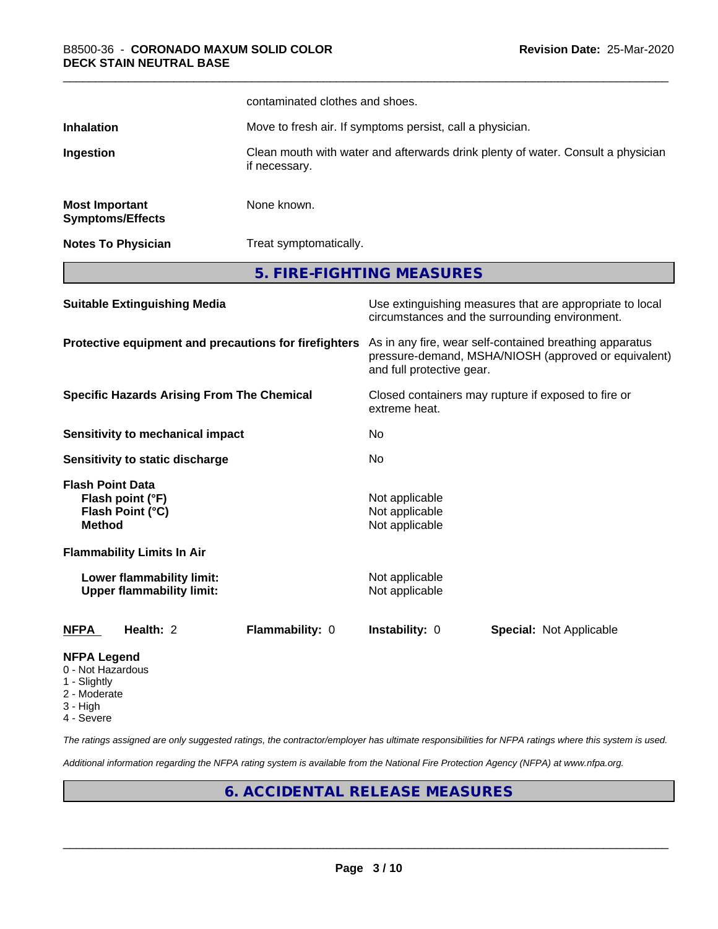|                                                                         |                                                                      | contaminated clothes and shoes.                                                                                                              |                                                                                  |                                                                                                            |  |
|-------------------------------------------------------------------------|----------------------------------------------------------------------|----------------------------------------------------------------------------------------------------------------------------------------------|----------------------------------------------------------------------------------|------------------------------------------------------------------------------------------------------------|--|
| <b>Inhalation</b>                                                       |                                                                      |                                                                                                                                              | Move to fresh air. If symptoms persist, call a physician.                        |                                                                                                            |  |
| Ingestion                                                               |                                                                      | if necessary.                                                                                                                                | Clean mouth with water and afterwards drink plenty of water. Consult a physician |                                                                                                            |  |
| <b>Most Important</b>                                                   | <b>Symptoms/Effects</b>                                              | None known.                                                                                                                                  |                                                                                  |                                                                                                            |  |
|                                                                         | <b>Notes To Physician</b>                                            |                                                                                                                                              | Treat symptomatically.                                                           |                                                                                                            |  |
|                                                                         |                                                                      | 5. FIRE-FIGHTING MEASURES                                                                                                                    |                                                                                  |                                                                                                            |  |
|                                                                         | <b>Suitable Extinguishing Media</b>                                  |                                                                                                                                              |                                                                                  | Use extinguishing measures that are appropriate to local<br>circumstances and the surrounding environment. |  |
| Protective equipment and precautions for firefighters                   |                                                                      | As in any fire, wear self-contained breathing apparatus<br>pressure-demand, MSHA/NIOSH (approved or equivalent)<br>and full protective gear. |                                                                                  |                                                                                                            |  |
|                                                                         | <b>Specific Hazards Arising From The Chemical</b>                    |                                                                                                                                              | extreme heat.                                                                    | Closed containers may rupture if exposed to fire or                                                        |  |
|                                                                         | <b>Sensitivity to mechanical impact</b>                              |                                                                                                                                              | No                                                                               |                                                                                                            |  |
|                                                                         | Sensitivity to static discharge                                      |                                                                                                                                              | No                                                                               |                                                                                                            |  |
| <b>Flash Point Data</b><br><b>Method</b>                                | Flash point (°F)<br>Flash Point (°C)                                 |                                                                                                                                              | Not applicable<br>Not applicable<br>Not applicable                               |                                                                                                            |  |
|                                                                         | <b>Flammability Limits In Air</b>                                    |                                                                                                                                              |                                                                                  |                                                                                                            |  |
|                                                                         | <b>Lower flammability limit:</b><br><b>Upper flammability limit:</b> |                                                                                                                                              | Not applicable<br>Not applicable                                                 |                                                                                                            |  |
| <u>NFPA</u>                                                             | Health: 2                                                            | Flammability: 0                                                                                                                              | Instability: 0                                                                   | <b>Special: Not Applicable</b>                                                                             |  |
| <b>NFPA Legend</b><br>0 - Not Hazardous<br>1 - Slightly<br>2 - Moderate |                                                                      |                                                                                                                                              |                                                                                  |                                                                                                            |  |

- 3 High
- 4 Severe

*The ratings assigned are only suggested ratings, the contractor/employer has ultimate responsibilities for NFPA ratings where this system is used.*

*Additional information regarding the NFPA rating system is available from the National Fire Protection Agency (NFPA) at www.nfpa.org.*

#### **6. ACCIDENTAL RELEASE MEASURES**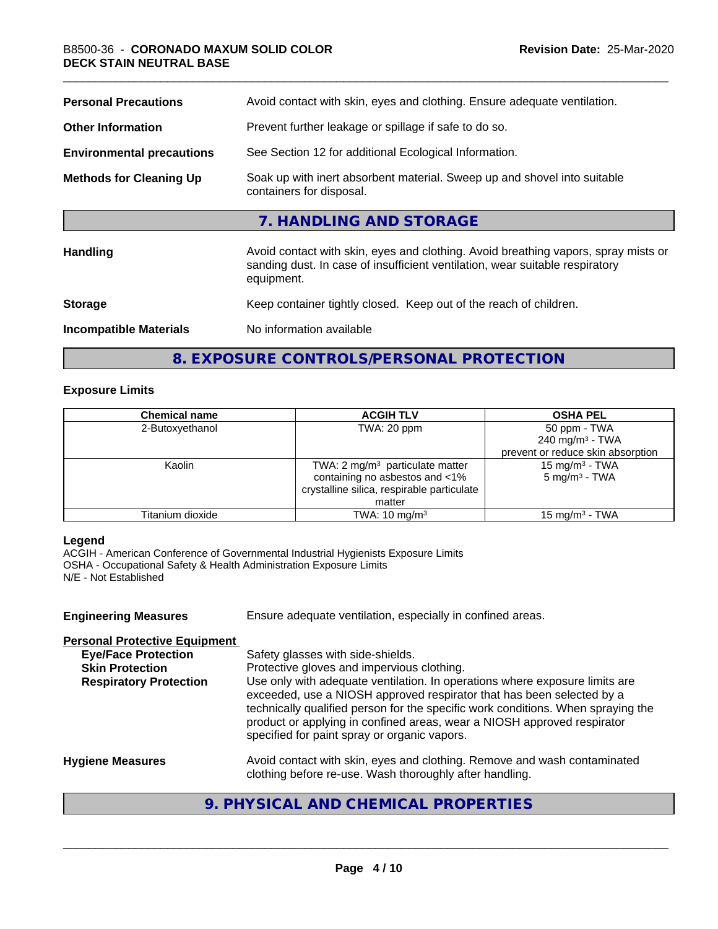| <b>Personal Precautions</b>      | Avoid contact with skin, eyes and clothing. Ensure adequate ventilation.                                                                                                         |
|----------------------------------|----------------------------------------------------------------------------------------------------------------------------------------------------------------------------------|
| <b>Other Information</b>         | Prevent further leakage or spillage if safe to do so.                                                                                                                            |
| <b>Environmental precautions</b> | See Section 12 for additional Ecological Information.                                                                                                                            |
| <b>Methods for Cleaning Up</b>   | Soak up with inert absorbent material. Sweep up and shovel into suitable<br>containers for disposal.                                                                             |
|                                  | 7. HANDLING AND STORAGE                                                                                                                                                          |
| <b>Handling</b>                  | Avoid contact with skin, eyes and clothing. Avoid breathing vapors, spray mists or<br>sanding dust. In case of insufficient ventilation, wear suitable respiratory<br>equipment. |
| <b>Storage</b>                   | Keep container tightly closed. Keep out of the reach of children.                                                                                                                |
| <b>Incompatible Materials</b>    | No information available                                                                                                                                                         |

**8. EXPOSURE CONTROLS/PERSONAL PROTECTION**

#### **Exposure Limits**

| <b>Chemical name</b> | <b>ACGIH TLV</b>                           | <b>OSHA PEL</b>                   |
|----------------------|--------------------------------------------|-----------------------------------|
| 2-Butoxyethanol      | TWA: 20 ppm                                | 50 ppm - TWA                      |
|                      |                                            | $240$ mg/m <sup>3</sup> - TWA     |
|                      |                                            | prevent or reduce skin absorption |
| Kaolin               | TWA: $2 \text{ mg/m}^3$ particulate matter | 15 mg/m $3$ - TWA                 |
|                      | containing no asbestos and <1%             | 5 mg/m <sup>3</sup> - TWA         |
|                      | crystalline silica, respirable particulate |                                   |
|                      | matter                                     |                                   |
| Titanium dioxide     | TWA: $10 \text{ mg/m}^3$                   | 15 mg/m $3$ - TWA                 |

#### **Legend**

ACGIH - American Conference of Governmental Industrial Hygienists Exposure Limits OSHA - Occupational Safety & Health Administration Exposure Limits N/E - Not Established

| Ensure adequate ventilation, especially in confined areas.                                                                                                                                                                                                                                                                                                          |
|---------------------------------------------------------------------------------------------------------------------------------------------------------------------------------------------------------------------------------------------------------------------------------------------------------------------------------------------------------------------|
|                                                                                                                                                                                                                                                                                                                                                                     |
| Safety glasses with side-shields.                                                                                                                                                                                                                                                                                                                                   |
| Protective gloves and impervious clothing.                                                                                                                                                                                                                                                                                                                          |
| Use only with adequate ventilation. In operations where exposure limits are<br>exceeded, use a NIOSH approved respirator that has been selected by a<br>technically qualified person for the specific work conditions. When spraying the<br>product or applying in confined areas, wear a NIOSH approved respirator<br>specified for paint spray or organic vapors. |
| Avoid contact with skin, eyes and clothing. Remove and wash contaminated<br>clothing before re-use. Wash thoroughly after handling.                                                                                                                                                                                                                                 |
|                                                                                                                                                                                                                                                                                                                                                                     |

#### **9. PHYSICAL AND CHEMICAL PROPERTIES**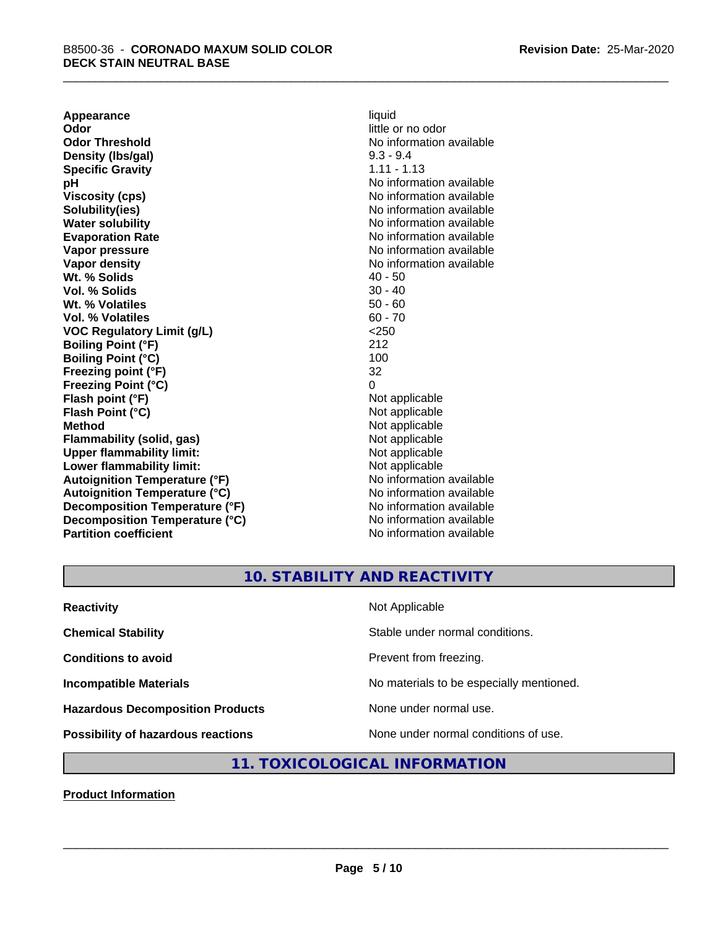**Appearance** liquid<br> **Odor** little c **Odor Threshold**<br> **Density (Ibs/gal)**<br> **Density (Ibs/gal)**<br>
2.3 - 9.4 **Density (Ibs/gal)** 9.3 - 9.4<br> **Specific Gravity** 1.11 - 1.13 **Specific Gravity pH** No information available **Viscosity (cps)** No information available Notice 1, 1999 **Solubility(ies)** No information available in the solution of the solution of the solution available in the solution of the solution of the solution of the solution of the solution of the solution of the solution of the so **Water solubility** No information available **Evaporation Rate No information available No information available Vapor pressure** No information available in the North American Monte available in the North American available **Vapor density**<br> **We Solids** (*We Solids* ) and the setting of the setting of the setting of the setting of the setting of the setting of the setting of the setting of the setting of the setting of the setting of the setti **Wt. % Solids** 40 - 50<br> **Vol. % Solids** 30 - 40 **Vol. % Solids Wt. % Volatiles** 50 - 60 **Vol. % Volatiles** 60 - 70 **VOC Regulatory Limit (g/L)** <250 **Boiling Point (°F)** 212 **Boiling Point (°C) Freezing point (°F)** 32 **Freezing Point (°C)** 0 **Flash point (°F)** Not applicable **Flash Point (°C)** Not applicable **Method** Not applicable<br> **Flammability (solid, gas)** Not applicable Not applicable **Flammability** (solid, gas) **Upper flammability limit:**<br> **Lower flammability limit:**<br>
Not applicable<br>
Not applicable **Lower flammability limit:**<br> **Autoignition Temperature (°F)** Not applicable Not applicable **Autoignition Temperature (°F) Autoignition Temperature (°C)** No information available **Decomposition Temperature (°F)** No information available **Decomposition Temperature (°C)** No information available **Partition coefficient** No information available

little or no odor

#### **10. STABILITY AND REACTIVITY**

| <b>Reactivity</b>                         | Not Applicable                           |
|-------------------------------------------|------------------------------------------|
| <b>Chemical Stability</b>                 | Stable under normal conditions.          |
| <b>Conditions to avoid</b>                | Prevent from freezing.                   |
| <b>Incompatible Materials</b>             | No materials to be especially mentioned. |
| <b>Hazardous Decomposition Products</b>   | None under normal use.                   |
| <b>Possibility of hazardous reactions</b> | None under normal conditions of use.     |

#### **11. TOXICOLOGICAL INFORMATION**

**Product Information**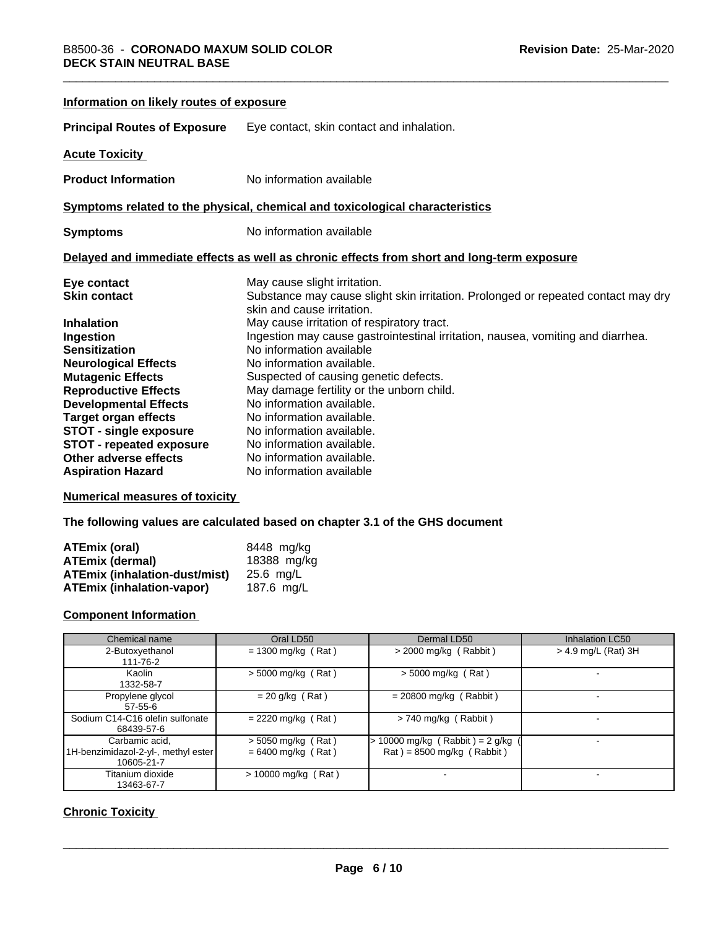| Information on likely routes of exposure |                                                                                                                 |
|------------------------------------------|-----------------------------------------------------------------------------------------------------------------|
| <b>Principal Routes of Exposure</b>      | Eye contact, skin contact and inhalation.                                                                       |
| <b>Acute Toxicity</b>                    |                                                                                                                 |
| <b>Product Information</b>               | No information available                                                                                        |
|                                          | Symptoms related to the physical, chemical and toxicological characteristics                                    |
| <b>Symptoms</b>                          | No information available                                                                                        |
|                                          | Delayed and immediate effects as well as chronic effects from short and long-term exposure                      |
| Eye contact                              | May cause slight irritation.                                                                                    |
| <b>Skin contact</b>                      | Substance may cause slight skin irritation. Prolonged or repeated contact may dry<br>skin and cause irritation. |
| <b>Inhalation</b>                        | May cause irritation of respiratory tract.                                                                      |
| Ingestion                                | Ingestion may cause gastrointestinal irritation, nausea, vomiting and diarrhea.                                 |
| <b>Sensitization</b>                     | No information available                                                                                        |
| <b>Neurological Effects</b>              | No information available.                                                                                       |
| <b>Mutagenic Effects</b>                 | Suspected of causing genetic defects.                                                                           |
| <b>Reproductive Effects</b>              | May damage fertility or the unborn child.                                                                       |
| <b>Developmental Effects</b>             | No information available.                                                                                       |
| <b>Target organ effects</b>              | No information available.                                                                                       |
| <b>STOT - single exposure</b>            | No information available.                                                                                       |
| <b>STOT - repeated exposure</b>          | No information available.                                                                                       |
| Other adverse effects                    | No information available.                                                                                       |
| <b>Aspiration Hazard</b>                 | No information available                                                                                        |

#### **Numerical measures of toxicity**

**The following values are calculated based on chapter 3.1 of the GHS document**

| ATEmix (oral)                        | 8448 mg/ka  |
|--------------------------------------|-------------|
| <b>ATEmix (dermal)</b>               | 18388 mg/kg |
| <b>ATEmix (inhalation-dust/mist)</b> | 25.6 ma/L   |
| <b>ATEmix (inhalation-vapor)</b>     | 187.6 ma/L  |

#### **Component Information**

| Chemical name                                                       | Oral LD50                                    | Dermal LD50                                                    | <b>Inhalation LC50</b> |
|---------------------------------------------------------------------|----------------------------------------------|----------------------------------------------------------------|------------------------|
| 2-Butoxyethanol<br>111-76-2                                         | $= 1300$ mg/kg (Rat)                         | $>$ 2000 mg/kg (Rabbit)                                        | > 4.9 mg/L (Rat) 3H    |
| Kaolin<br>1332-58-7                                                 | $>$ 5000 mg/kg (Rat)                         | $>$ 5000 mg/kg (Rat)                                           |                        |
| Propylene glycol<br>$57 - 55 - 6$                                   | $= 20$ g/kg (Rat)                            | $= 20800$ mg/kg (Rabbit)                                       |                        |
| Sodium C14-C16 olefin sulfonate<br>68439-57-6                       | $= 2220$ mg/kg (Rat)                         | $> 740$ mg/kg (Rabbit)                                         |                        |
| Carbamic acid,<br>1H-benzimidazol-2-yl-, methyl ester<br>10605-21-7 | $>$ 5050 mg/kg (Rat)<br>$= 6400$ mg/kg (Rat) | 10000 mg/kg (Rabbit) = $2$ g/kg<br>$Rat$ = 8500 mg/kg (Rabbit) |                        |
| Titanium dioxide<br>13463-67-7                                      | $> 10000$ mg/kg (Rat)                        | $\overline{\phantom{0}}$                                       |                        |

#### **Chronic Toxicity**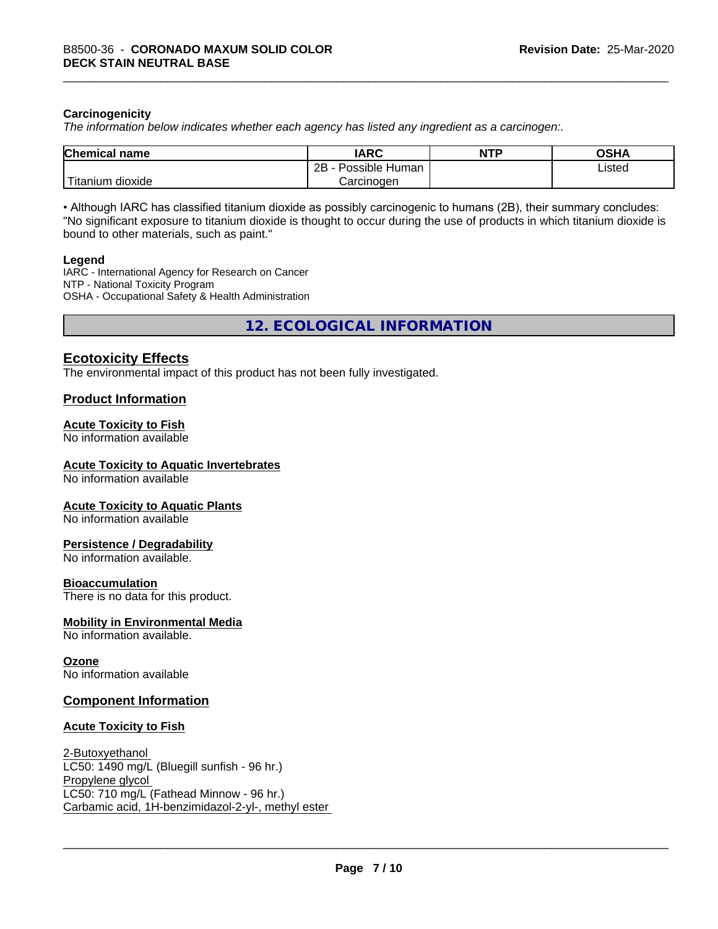#### **Carcinogenicity**

*The information below indicateswhether each agency has listed any ingredient as a carcinogen:.*

| <b>Chemical name</b>                     | <b>IARC</b>                        | <b>NTP</b> | <b>OSHA</b> |
|------------------------------------------|------------------------------------|------------|-------------|
|                                          | .<br>2B<br>∽<br>Possible<br>⊦Human |            | ∟isted<br>. |
| $\sim$ 100 $\pm$<br>l itanıum<br>dioxide | Carcinogen                         |            |             |

• Although IARC has classified titanium dioxide as possibly carcinogenic to humans (2B), their summary concludes: "No significant exposure to titanium dioxide is thought to occur during the use of products in which titanium dioxide is bound to other materials, such as paint."

#### **Legend**

IARC - International Agency for Research on Cancer NTP - National Toxicity Program OSHA - Occupational Safety & Health Administration

**12. ECOLOGICAL INFORMATION**

#### **Ecotoxicity Effects**

The environmental impact of this product has not been fully investigated.

#### **Product Information**

#### **Acute Toxicity to Fish**

No information available

#### **Acute Toxicity to Aquatic Invertebrates**

No information available

#### **Acute Toxicity to Aquatic Plants**

No information available

#### **Persistence / Degradability**

No information available.

#### **Bioaccumulation**

There is no data for this product.

#### **Mobility in Environmental Media**

No information available.

#### **Ozone**

No information available

#### **Component Information**

#### **Acute Toxicity to Fish**

2-Butoxyethanol LC50: 1490 mg/L (Bluegill sunfish - 96 hr.) Propylene glycol LC50: 710 mg/L (Fathead Minnow - 96 hr.) Carbamic acid, 1H-benzimidazol-2-yl-, methyl ester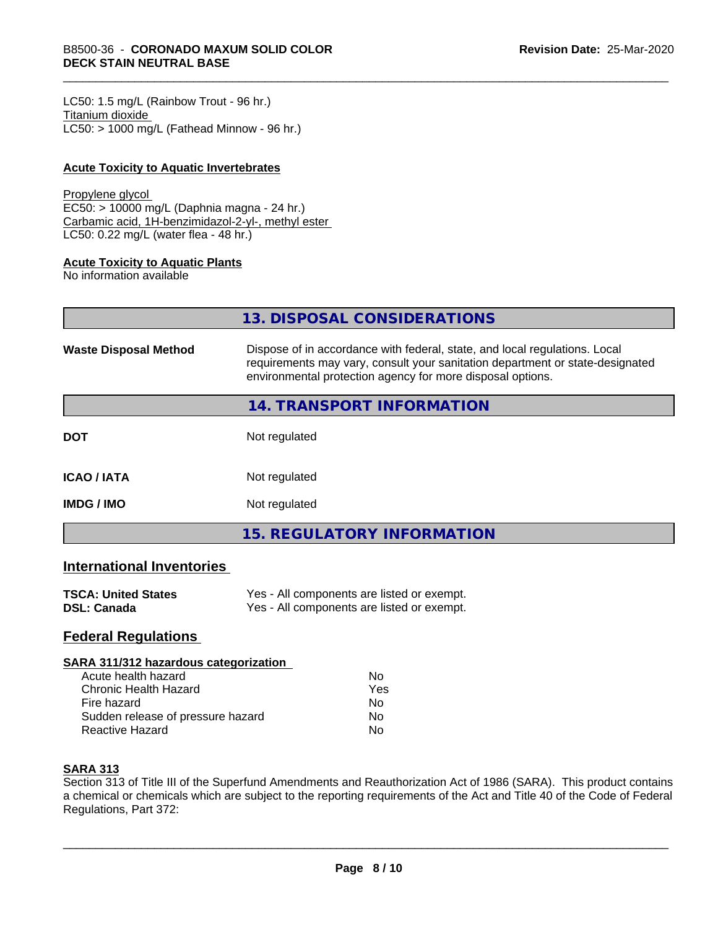LC50: 1.5 mg/L (Rainbow Trout - 96 hr.) Titanium dioxide  $LC50:$  > 1000 mg/L (Fathead Minnow - 96 hr.)

#### **Acute Toxicity to Aquatic Invertebrates**

#### Propylene glycol

EC50: > 10000 mg/L (Daphnia magna - 24 hr.) Carbamic acid, 1H-benzimidazol-2-yl-, methyl ester LC50: 0.22 mg/L (water flea - 48 hr.)

#### **Acute Toxicity to Aquatic Plants**

No information available

| 13. DISPOSAL CONSIDERATIONS |  |
|-----------------------------|--|
|                             |  |

| <b>Waste Disposal Method</b> | Dispose of in accordance with federal, state, and local regulations. Local<br>requirements may vary, consult your sanitation department or state-designated<br>environmental protection agency for more disposal options. |
|------------------------------|---------------------------------------------------------------------------------------------------------------------------------------------------------------------------------------------------------------------------|
|                              | 14. TRANSPORT INFORMATION                                                                                                                                                                                                 |
| <b>DOT</b>                   | Not regulated                                                                                                                                                                                                             |
| <b>ICAO/IATA</b>             | Not regulated                                                                                                                                                                                                             |
| <b>IMDG/IMO</b>              | Not regulated                                                                                                                                                                                                             |
|                              | <b>15. REGULATORY INFORMATION</b>                                                                                                                                                                                         |

#### **International Inventories**

| <b>TSCA: United States</b> | Yes - All components are listed or exempt. |
|----------------------------|--------------------------------------------|
| DSL: Canada                | Yes - All components are listed or exempt. |

#### **Federal Regulations**

#### **SARA 311/312 hazardous categorization**

| Acute health hazard               | Nο  |  |
|-----------------------------------|-----|--|
| Chronic Health Hazard             | Yes |  |
| Fire hazard                       | Nο  |  |
| Sudden release of pressure hazard | N٥  |  |
| Reactive Hazard                   | N٥  |  |

#### **SARA 313**

Section 313 of Title III of the Superfund Amendments and Reauthorization Act of 1986 (SARA). This product contains a chemical or chemicals which are subject to the reporting requirements of the Act and Title 40 of the Code of Federal Regulations, Part 372: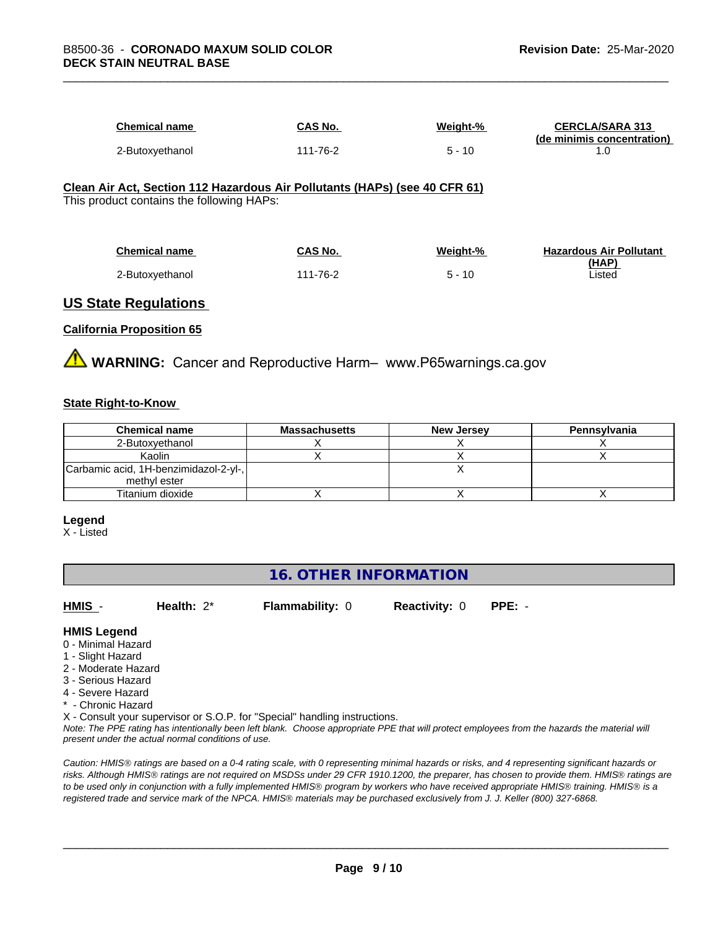| Chemical name   | CAS No.  | Weight-% | <b>CERCLA/SARA 313</b><br>(de minimis concentration) |
|-----------------|----------|----------|------------------------------------------------------|
| 2-Butoxyethanol | 111-76-2 | - 10     |                                                      |

#### **Clean Air Act,Section 112 Hazardous Air Pollutants (HAPs) (see 40 CFR 61)** This product contains the following HAPs:

| <b>Chemical name</b> | <b>CAS No.</b> | Weight-% | <b>Hazardous Air Pollutant</b> |
|----------------------|----------------|----------|--------------------------------|
|                      |                |          | (HAP)                          |
| 2-Butoxyethanol      | 111-76-2       | $5 - 10$ | Listed                         |

#### **US State Regulations**

#### **California Proposition 65**

**AVIMARNING:** Cancer and Reproductive Harm– www.P65warnings.ca.gov

#### **State Right-to-Know**

| <b>Chemical name</b>                  | <b>Massachusetts</b> | <b>New Jersey</b> | Pennsylvania |
|---------------------------------------|----------------------|-------------------|--------------|
| 2-Butoxvethanol                       |                      |                   |              |
| Kaolin                                |                      |                   |              |
| Carbamic acid, 1H-benzimidazol-2-yl-, |                      |                   |              |
| methyl ester                          |                      |                   |              |
| Titanium dioxide                      |                      |                   |              |

#### **Legend**

X - Listed

#### **16. OTHER INFORMATION**

**HMIS** - **Health:** 2\* **Flammability:** 0 **Reactivity:** 0 **PPE:** -

#### **HMIS Legend**

- 0 Minimal Hazard
- 1 Slight Hazard
- 2 Moderate Hazard
- 3 Serious Hazard
- 4 Severe Hazard
- \* Chronic Hazard

X - Consult your supervisor or S.O.P. for "Special" handling instructions.

*Note: The PPE rating has intentionally been left blank. Choose appropriate PPE that will protect employees from the hazards the material will present under the actual normal conditions of use.*

*Caution: HMISÒ ratings are based on a 0-4 rating scale, with 0 representing minimal hazards or risks, and 4 representing significant hazards or risks. Although HMISÒ ratings are not required on MSDSs under 29 CFR 1910.1200, the preparer, has chosen to provide them. HMISÒ ratings are to be used only in conjunction with a fully implemented HMISÒ program by workers who have received appropriate HMISÒ training. HMISÒ is a registered trade and service mark of the NPCA. HMISÒ materials may be purchased exclusively from J. J. Keller (800) 327-6868.*